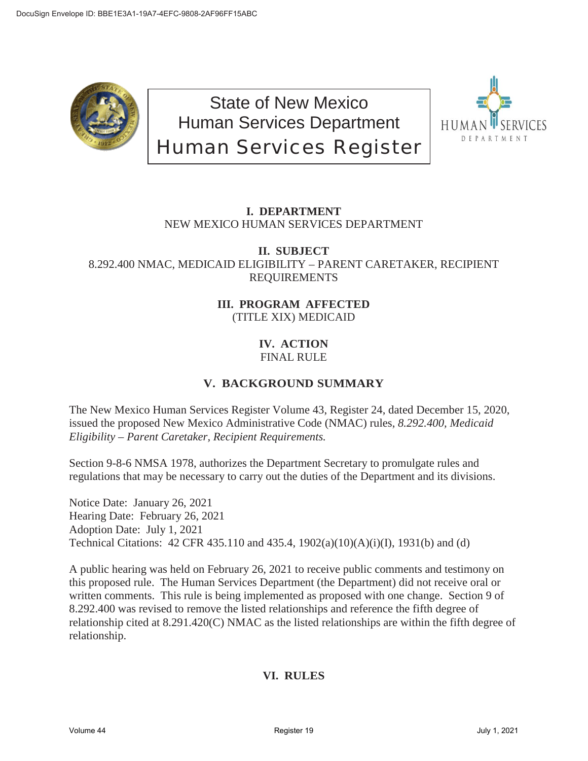

State of New Mexico Human Services Department Human Services Register



# **I. DEPARTMENT** NEW MEXICO HUMAN SERVICES DEPARTMENT

### **II. SUBJECT** 8.292.400 NMAC, MEDICAID ELIGIBILITY – PARENT CARETAKER, RECIPIENT REQUIREMENTS

## **III. PROGRAM AFFECTED** (TITLE XIX) MEDICAID

### **IV. ACTION** FINAL RULE

# **V. BACKGROUND SUMMARY**

The New Mexico Human Services Register Volume 43, Register 24, dated December 15, 2020, issued the proposed New Mexico Administrative Code (NMAC) rules, *8.292.400, Medicaid Eligibility – Parent Caretaker, Recipient Requirements.*

Section 9-8-6 NMSA 1978, authorizes the Department Secretary to promulgate rules and regulations that may be necessary to carry out the duties of the Department and its divisions.

Notice Date: January 26, 2021 Hearing Date: February 26, 2021 Adoption Date: July 1, 2021 Technical Citations: 42 CFR 435.110 and 435.4, 1902(a)(10)(A)(i)(I), 1931(b) and (d)

A public hearing was held on February 26, 2021 to receive public comments and testimony on this proposed rule. The Human Services Department (the Department) did not receive oral or written comments. This rule is being implemented as proposed with one change. Section 9 of 8.292.400 was revised to remove the listed relationships and reference the fifth degree of relationship cited at 8.291.420(C) NMAC as the listed relationships are within the fifth degree of relationship.

# **VI. RULES**